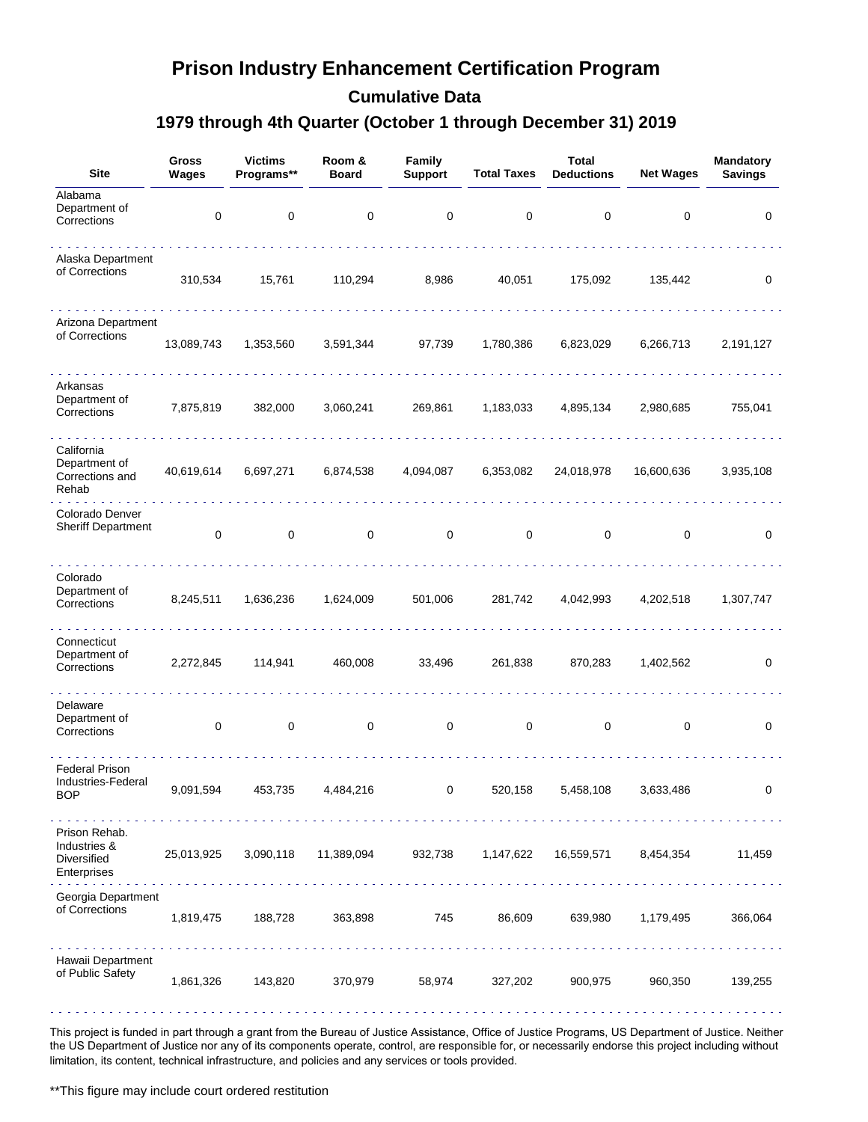### **Prison Industry Enhancement Certification Program**

**Cumulative Data**

#### **1979 through 4th Quarter (October 1 through December 31) 2019**

| <b>Site</b>                                                 | <b>Gross</b><br>Wages | <b>Victims</b><br>Programs**                              | Room &<br><b>Board</b> | Family<br><b>Support</b> | <b>Total Taxes</b> | <b>Total</b><br><b>Deductions</b> | <b>Net Wages</b> | <b>Mandatory</b><br><b>Savings</b> |
|-------------------------------------------------------------|-----------------------|-----------------------------------------------------------|------------------------|--------------------------|--------------------|-----------------------------------|------------------|------------------------------------|
| Alabama<br>Department of<br>Corrections                     | $\pmb{0}$             | $\pmb{0}$                                                 | $\pmb{0}$              | 0                        | 0                  | 0                                 | 0                | 0                                  |
| Alaska Department<br>of Corrections                         | 310,534               | 15,761                                                    | 110,294                | 8,986                    | 40,051             | 175,092                           | 135,442          | 0                                  |
| Arizona Department<br>of Corrections                        | 13,089,743            | 1,353,560                                                 | 3,591,344              | 97,739                   | 1,780,386          | 6,823,029                         | 6,266,713        | 2,191,127                          |
| Arkansas<br>Department of<br>Corrections                    | 7,875,819             | 382,000                                                   | 3,060,241              | 269,861                  | 1,183,033          | 4,895,134                         | 2,980,685        | 755,041                            |
| California<br>Department of<br>Corrections and<br>Rehab     | 40,619,614            | 6,697,271                                                 | 6,874,538              | 4,094,087                | 6,353,082          | 24,018,978                        | 16,600,636       | 3,935,108                          |
| Colorado Denver<br><b>Sheriff Department</b>                | 0                     | 0                                                         | $\mathbf 0$            | 0                        | 0                  | 0                                 | 0                | 0                                  |
| Colorado<br>Department of<br>Corrections                    | 8,245,511             | 1,636,236                                                 | 1,624,009              | 501,006                  | 281,742            | 4,042,993                         | 4,202,518        | 1,307,747                          |
| Connecticut<br>Department of<br>Corrections                 | 2,272,845             | 114,941                                                   | 460,008                | 33,496                   | 261,838            | 870,283                           | 1,402,562        | 0                                  |
| Delaware<br>Department of<br>Corrections                    | $\pmb{0}$             | $\mathsf 0$                                               | $\mathsf 0$            | $\mathbf 0$              | $\mathsf 0$        | $\mathsf 0$                       | 0                | 0                                  |
| <b>Federal Prison</b><br>Industries-Federal<br>BOP          | 9,091,594             | 453,735                                                   | 4,484,216              | 0                        | 520,158            | 5,458,108                         | 3,633,486        | 0                                  |
| Prison Rehab.<br>Industries &<br>Diversified<br>Enterprises | 25,013,925            | 3,090,118<br>di di di di di di di di di di di di milimi n | 11,389,094             | 932,738                  | 1,147,622          | 16,559,571                        | 8,454,354        | 11,459                             |
| Georgia Department<br>of Corrections                        | 1,819,475             | 188,728                                                   | 363,898                | 745                      | 86,609             | 639,980                           | 1,179,495        | 366,064                            |
| Hawaii Department<br>of Public Safety                       | 1,861,326             | 143,820                                                   | 370,979                | 58,974                   | 327,202            | 900,975                           | 960,350          | 139,255                            |

This project is funded in part through a grant from the Bureau of Justice Assistance, Office of Justice Programs, US Department of Justice. Neither the US Department of Justice nor any of its components operate, control, are responsible for, or necessarily endorse this project including without limitation, its content, technical infrastructure, and policies and any services or tools provided.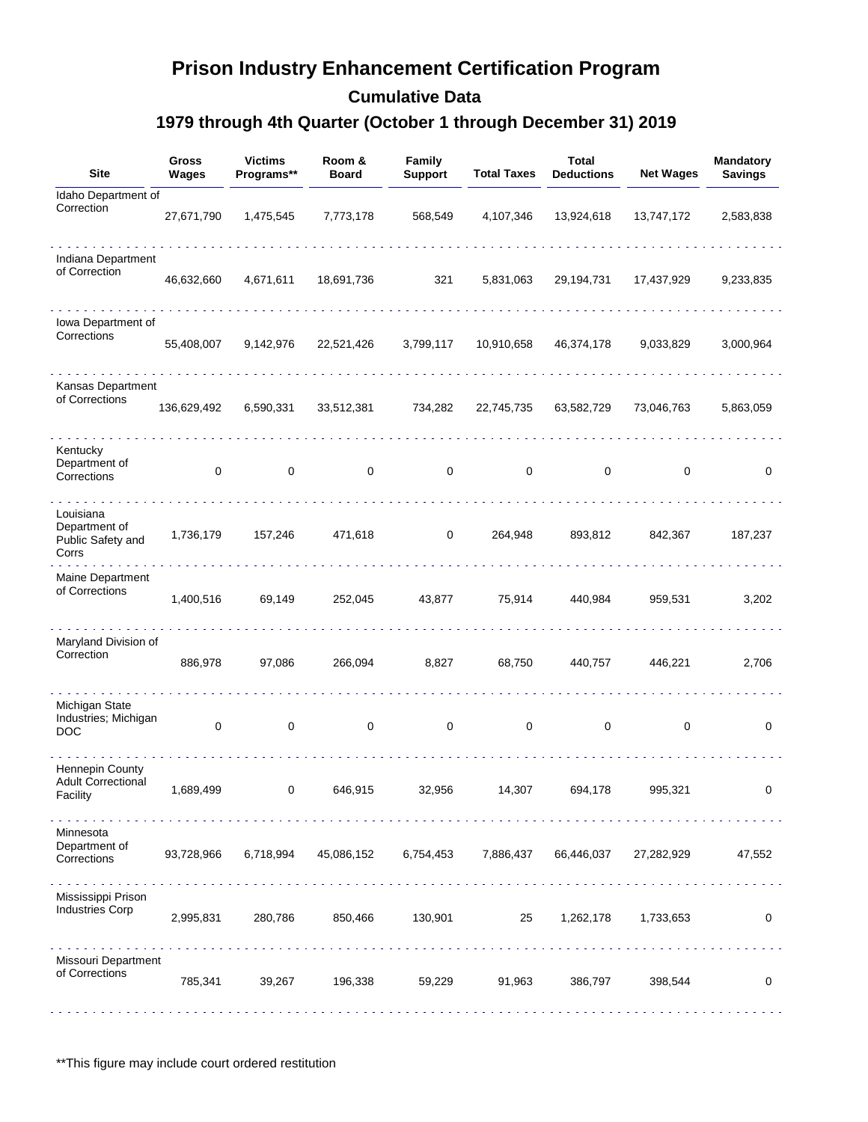# **Prison Industry Enhancement Certification Program**

**Cumulative Data**

### **1979 through 4th Quarter (October 1 through December 31) 2019**

| <b>Site</b>                                              | <b>Gross</b><br>Wages | <b>Victims</b><br>Programs**   | Room &<br><b>Board</b> | Family<br><b>Support</b> | <b>Total Taxes</b>               | Total<br><b>Deductions</b> | <b>Net Wages</b> | <b>Mandatory</b><br><b>Savings</b> |
|----------------------------------------------------------|-----------------------|--------------------------------|------------------------|--------------------------|----------------------------------|----------------------------|------------------|------------------------------------|
| Idaho Department of<br>Correction                        | 27,671,790            | 1,475,545                      | 7,773,178              | 568,549                  | 4,107,346                        | 13,924,618                 | 13,747,172       | 2,583,838                          |
| Indiana Department<br>of Correction                      | 46,632,660            | 4,671,611                      | 18,691,736             | 321                      | 5,831,063                        | 29,194,731                 | 17,437,929       | 9,233,835                          |
| Iowa Department of<br>Corrections                        | 55,408,007            | 9,142,976                      | 22,521,426             | 3,799,117                | 10,910,658                       | 46,374,178                 | 9,033,829        | 3,000,964                          |
| Kansas Department<br>of Corrections                      | 136,629,492           | 6,590,331                      | 33,512,381             | 734,282                  | 22,745,735                       | 63,582,729                 | 73,046,763       | 5,863,059                          |
| Kentucky<br>Department of<br>Corrections                 | 0                     | $\mathsf 0$                    | 0                      | $\mathbf 0$              | 0                                | 0                          | 0                | 0                                  |
| Louisiana<br>Department of<br>Public Safety and<br>Corrs | 1,736,179             | 157,246                        | 471,618                | 0                        | 264,948                          | 893,812                    | 842,367          | 187,237                            |
| Maine Department<br>of Corrections                       | 1,400,516             | 69,149                         | 252,045                | 43,877                   | 75,914                           | 440,984                    | 959,531          | 3,202                              |
| Maryland Division of<br>Correction                       | 886,978               | 97,086                         | 266,094                | 8,827                    | 68,750                           | 440,757                    | 446,221          | 2,706                              |
| Michigan State<br>Industries; Michigan<br><b>DOC</b>     | $\mathbf 0$           | 0                              | 0                      | 0                        | 0                                | 0                          | 0                | 0                                  |
| Hennepin County<br><b>Adult Correctional</b><br>Facility | 1,689,499             | 0                              | 646,915                | 32,956                   | 14,307                           | 694,178                    | 995,321          | 0                                  |
| Minnesota<br>Department of<br>Corrections                | 93,728,966            | 6,718,994                      | 45,086,152             | 6,754,453                | 7,886,437                        | 66,446,037                 | 27,282,929       | 47,552                             |
| Mississippi Prison<br><b>Industries Corp</b>             | 2,995,831             | 280,786<br>and and and and and | 850,466                | 130,901                  | idi di di di di di di di d<br>25 | 1,262,178                  | 1,733,653        | 0                                  |
| Missouri Department<br>of Corrections                    | 785,341               | 39,267                         | 196,338                | 59,229                   | 91,963                           | 386,797                    | 398,544          | 0                                  |

\*\*This figure may include court ordered restitution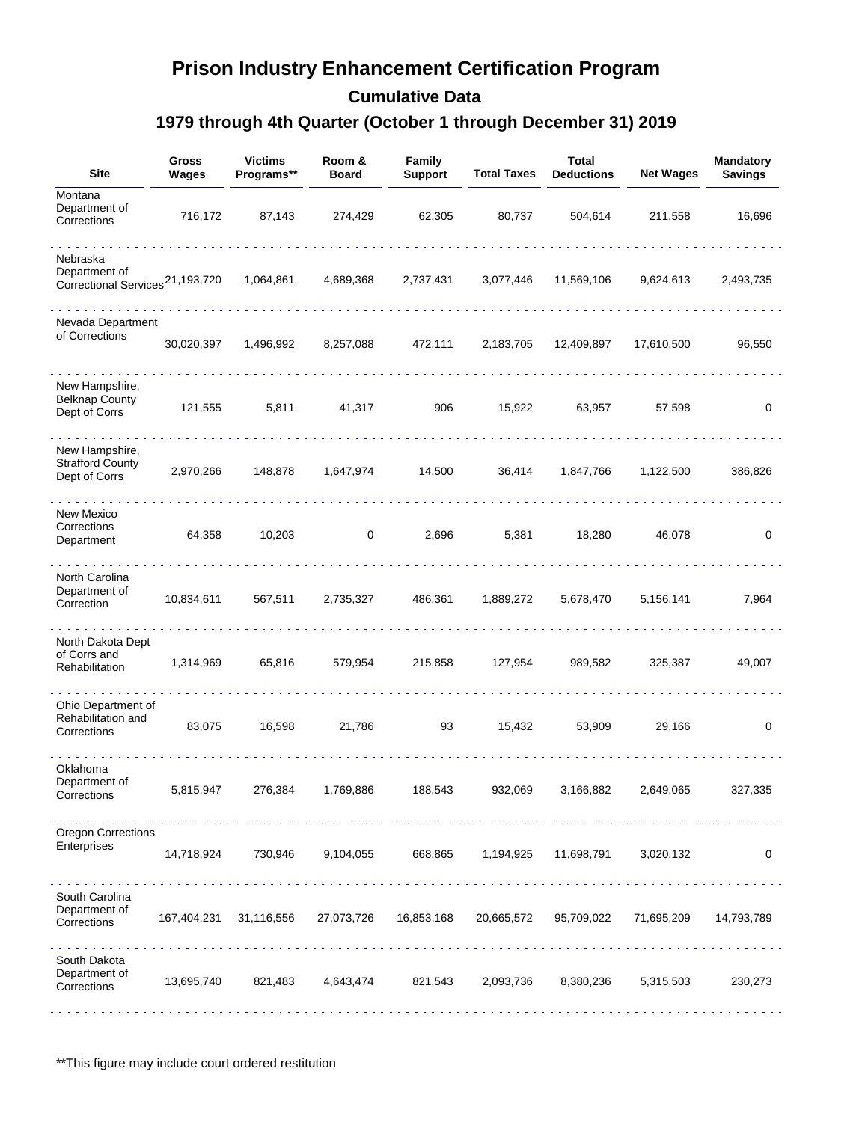## **Prison Industry Enhancement Certification Program**

**Cumulative Data**

### **1979 through 4th Quarter (October 1 through December 31) 2019**

| <b>Site</b>                                                              | <b>Gross</b><br><b>Wages</b> | <b>Victims</b><br>Programs** | Room &<br><b>Board</b> | Family<br><b>Support</b> | <b>Total Taxes</b> | Total<br><b>Deductions</b> | <b>Net Wages</b> | <b>Mandatory</b><br><b>Savings</b> |
|--------------------------------------------------------------------------|------------------------------|------------------------------|------------------------|--------------------------|--------------------|----------------------------|------------------|------------------------------------|
| Montana<br>Department of<br>Corrections                                  | 716,172                      | 87,143                       | 274,429                | 62,305                   | 80,737             | 504,614                    | 211,558          | 16,696                             |
| Nebraska<br>Department of<br>Correctional Services <sup>21,193,720</sup> |                              | 1,064,861                    | 4,689,368              | 2,737,431                | 3,077,446          | 11,569,106                 | 9,624,613        | 2,493,735                          |
| Nevada Department<br>of Corrections                                      | 30,020,397                   | 1,496,992                    | 8,257,088              | 472,111                  | 2,183,705          | 12,409,897                 | 17,610,500       | 96,550                             |
| New Hampshire,<br><b>Belknap County</b><br>Dept of Corrs                 | 121,555                      | 5,811                        | 41,317                 | 906                      | 15,922             | 63,957                     | 57,598           | 0                                  |
| New Hampshire,<br><b>Strafford County</b><br>Dept of Corrs               | 2,970,266                    | 148,878                      | 1,647,974              | 14,500                   | 36,414             | 1,847,766                  | 1,122,500        | 386,826                            |
| New Mexico<br>Corrections<br>Department                                  | 64,358                       | 10,203                       | 0                      | 2,696                    | 5,381              | 18,280                     | 46,078           | 0                                  |
| North Carolina<br>Department of<br>Correction                            | 10,834,611                   | 567,511                      | 2,735,327              | 486,361                  | 1,889,272          | 5,678,470                  | 5,156,141        | 7,964                              |
| North Dakota Dept<br>of Corrs and<br>Rehabilitation                      | 1,314,969                    | 65,816                       | 579,954                | 215,858                  | 127,954            | 989,582                    | 325,387          | 49,007                             |
| Ohio Department of<br>Rehabilitation and<br>Corrections                  | 83,075                       | 16,598                       | 21,786                 | 93                       | 15,432             | 53,909                     | 29,166           | 0                                  |
| Oklahoma<br>Department of<br>Corrections                                 | 5,815,947                    | 276,384                      | 1,769,886              | 188,543                  | 932,069            | 3,166,882                  | 2,649,065        | 327,335                            |
| <b>Oregon Corrections</b><br>Enterprises                                 | 14,718,924                   | 730,946                      | 9,104,055              | 668,865                  | 1,194,925          | 11,698,791                 | 3,020,132        | 0                                  |
| South Carolina<br>Department of<br>Corrections                           |                              | 167,404,231 31,116,556       | 27,073,726             | 16,853,168               | 20,665,572         | 95,709,022                 | 71,695,209       | 14,793,789                         |
| South Dakota<br>Department of<br>Corrections                             | 13,695,740                   | 821,483                      | 4,643,474              | 821,543                  | 2,093,736          | 8,380,236                  | 5,315,503        | 230,273                            |

\*\*This figure may include court ordered restitution